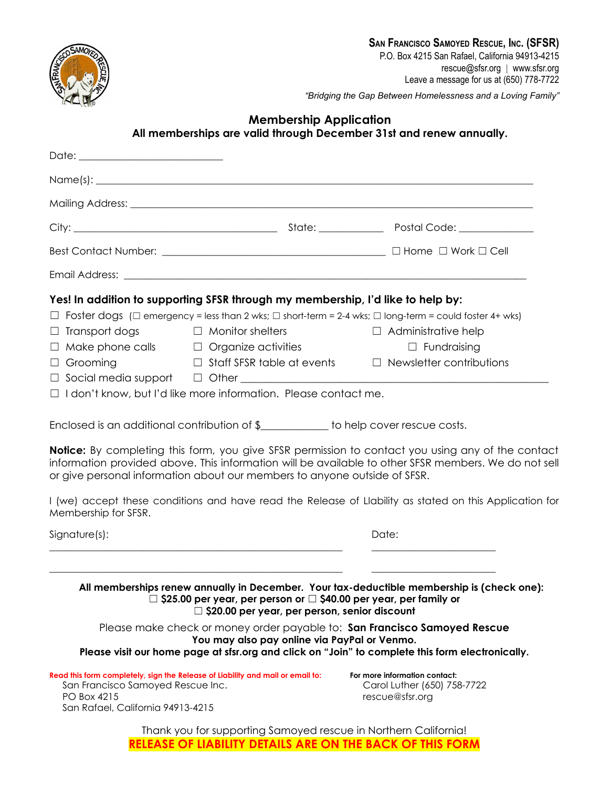

*"Bridging the Gap Between Homelessness and a Loving Family"*

## **Membership Application All memberships are valid through December 31st and renew annually.**

|                                                                                       | Mailing Address: <u>contract and a series of the series of the series of the series of the series of the series of the series of the series of the series of the series of the series of the series of the series of the series </u>                                                                                                                                                                                                                                                                                                                                                                                                                                                                                                                                                                                                                           |       |                                                                                                                                                                                                                                                                      |  |
|---------------------------------------------------------------------------------------|----------------------------------------------------------------------------------------------------------------------------------------------------------------------------------------------------------------------------------------------------------------------------------------------------------------------------------------------------------------------------------------------------------------------------------------------------------------------------------------------------------------------------------------------------------------------------------------------------------------------------------------------------------------------------------------------------------------------------------------------------------------------------------------------------------------------------------------------------------------|-------|----------------------------------------------------------------------------------------------------------------------------------------------------------------------------------------------------------------------------------------------------------------------|--|
|                                                                                       |                                                                                                                                                                                                                                                                                                                                                                                                                                                                                                                                                                                                                                                                                                                                                                                                                                                                |       |                                                                                                                                                                                                                                                                      |  |
|                                                                                       |                                                                                                                                                                                                                                                                                                                                                                                                                                                                                                                                                                                                                                                                                                                                                                                                                                                                |       |                                                                                                                                                                                                                                                                      |  |
|                                                                                       |                                                                                                                                                                                                                                                                                                                                                                                                                                                                                                                                                                                                                                                                                                                                                                                                                                                                |       |                                                                                                                                                                                                                                                                      |  |
| $\Box$ Transport dogs<br>$\Box$ Grooming                                              | Yes! In addition to supporting SFSR through my membership, I'd like to help by:<br>$\Box$ Foster dogs ( $\Box$ emergency = less than 2 wks; $\Box$ short-term = 2-4 wks; $\Box$ long-term = could foster 4+ wks)<br>$\Box$ Monitor shelters<br>$\Box$ Make phone calls $\Box$ Organize activities<br>$\Box$ Staff SFSR table at events $\Box$ Newsletter contributions<br>$\Box$ Social media support $\Box$ Other $\Box$ Alter $\Box$ Alternative and Alternative and Alternative and Alternative and Alternative and Alternative and Alternative and Alternative and Alternative and Alternative and Alternat<br>$\Box$ I don't know, but I'd like more information. Please contact me.<br>Enclosed is an additional contribution of \$____________ to help cover rescue costs.<br>or give personal information about our members to anyone outside of SFSR. |       | $\Box$ Administrative help<br>$\Box$ Fundraising<br><b>Notice:</b> By completing this form, you give SFSR permission to contact you using any of the contact<br>information provided above. This information will be available to other SFSR members. We do not sell |  |
| Membership for SFSR.                                                                  |                                                                                                                                                                                                                                                                                                                                                                                                                                                                                                                                                                                                                                                                                                                                                                                                                                                                |       | I (we) accept these conditions and have read the Release of Llability as stated on this Application for                                                                                                                                                              |  |
| Signature(s):                                                                         |                                                                                                                                                                                                                                                                                                                                                                                                                                                                                                                                                                                                                                                                                                                                                                                                                                                                | Date: |                                                                                                                                                                                                                                                                      |  |
| San Francisco Samoyed Rescue Inc.<br>PO Box 4215<br>San Rafael, California 94913-4215 | $\Box$ \$25.00 per year, per person or $\Box$ \$40.00 per year, per family or<br>$\Box$ \$20.00 per year, per person, senior discount<br>Please make check or money order payable to: San Francisco Samoyed Rescue<br>You may also pay online via PayPal or Venmo.<br>Please visit our home page at sfsr.org and click on "Join" to complete this form electronically.<br>Read this form completely, sign the Release of Liability and mail or email to:                                                                                                                                                                                                                                                                                                                                                                                                       |       | All memberships renew annually in December. Your tax-deductible membership is (check one):<br>For more information contact:<br>Carol Luther (650) 758-7722<br>rescue@sfsr.org                                                                                        |  |
|                                                                                       | Thank you for supporting Samoyed rescue in Northern California!<br><b>RELEASE OF LIABILITY DETAILS ARE ON THE BACK OF THIS FORM</b>                                                                                                                                                                                                                                                                                                                                                                                                                                                                                                                                                                                                                                                                                                                            |       |                                                                                                                                                                                                                                                                      |  |